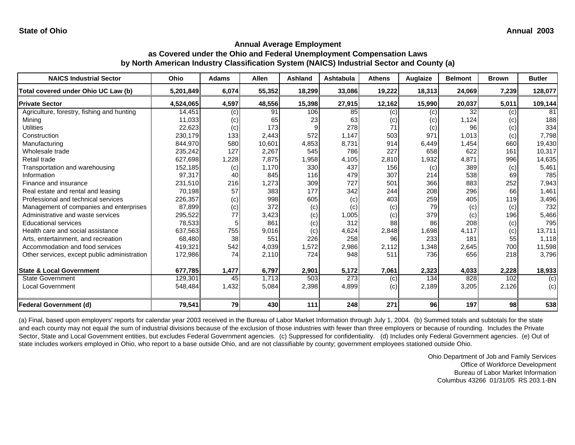**State of Ohio Annual 2003** 

#### **Annual Average Employment as Covered under the Ohio and Federal Unemployment Compensation Laws by North American Industry Classification System (NAICS) Industrial Sector and County (a)**

| <b>NAICS Industrial Sector</b>               | Ohio      | <b>Adams</b> | <b>Allen</b> | <b>Ashland</b> | <b>Ashtabula</b> | <b>Athens</b> | Auglaize | <b>Belmont</b> | <b>Brown</b> | <b>Butler</b> |
|----------------------------------------------|-----------|--------------|--------------|----------------|------------------|---------------|----------|----------------|--------------|---------------|
| Total covered under Ohio UC Law (b)          | 5,201,849 | 6,074        | 55,352       | 18,299         | 33,086           | 19,222        | 18,313   | 24,069         | 7,239        | 128,077       |
| <b>Private Sector</b>                        | 4,524,065 | 4,597        | 48,556       | 15,398         | 27,915           | 12,162        | 15,990   | 20,037         | 5,011        | 109,144       |
| Agriculture, forestry, fishing and hunting   | 14,451    | (c)          | 91           | 106            | 85               | (c)           | (c)      | 32             | (c)          | 81            |
| Mining                                       | 11,033    | (c)          | 65           | 23             | 63               | (c)           | (c)      | 1,124          | (c)          | 188           |
| <b>Utilities</b>                             | 22,623    | (c)          | 173          |                | 278              | 71            | (c)      | 96             | (c)          | 334           |
| Construction                                 | 230,179   | 133          | 2,443        | 572            | 1,147            | 503           | 971      | 1,013          | (c)          | 7,798         |
| Manufacturing                                | 844,970   | 580          | 10,601       | 4,853          | 8,731            | 914           | 6,449    | 1,454          | 660          | 19,430        |
| Wholesale trade                              | 235,242   | 127          | 2,267        | 545            | 786              | 227           | 658      | 622            | 161          | 10,317        |
| Retail trade                                 | 627,698   | 1,228        | 7,875        | 1,958          | 4,105            | 2,810         | 1,932    | 4,871          | 996          | 14,635        |
| Transportation and warehousing               | 152,185   | (c)          | 1,170        | 330            | 437              | 156           | (c)      | 389            | (c)          | 5,461         |
| Information                                  | 97,317    | 40           | 845          | 116            | 479              | 307           | 214      | 538            | 69           | 785           |
| Finance and insurance                        | 231,510   | 216          | 1,273        | 309            | 727              | 501           | 366      | 883            | 252          | 7,943         |
| Real estate and rental and leasing           | 70,198    | 57           | 383          | 177            | 342              | 244           | 208      | 296            | 66           | 1,461         |
| Professional and technical services          | 226,357   | (c)          | 998          | 605            | (c)              | 403           | 259      | 405            | 119          | 3,496         |
| Management of companies and enterprises      | 87,899    | (c)          | 372          | (c)            | (c)              | (c)           | 79       | (c)            | (c)          | 732           |
| Administrative and waste services            | 295,522   | 77           | 3,423        | (c)            | 1,005            | (c)           | 379      | (c)            | 196          | 5,466         |
| <b>Educational services</b>                  | 78,533    |              | 861          | (c)            | 312              | 88            | 86       | 208            | (c)          | 795           |
| Health care and social assistance            | 637,563   | 755          | 9,016        | (c)            | 4,624            | 2,848         | 1,698    | 4,117          | (c)          | 13,711        |
| Arts, entertainment, and recreation          | 68,480    | 38           | 551          | 226            | 258              | 96            | 233      | 181            | 55           | 1,118         |
| Accommodation and food services              | 419,321   | 542          | 4,039        | 1,572          | 2,986            | 2,112         | 1,348    | 2,645          | 700          | 11,598        |
| Other services, except public administration | 172,986   | 74           | 2,110        | 724            | 948              | 511           | 736      | 656            | 218          | 3,796         |
| <b>State &amp; Local Government</b>          | 677,785   | 1,477        | 6,797        | 2,901          | 5,172            | 7,061         | 2,323    | 4,033          | 2,228        | 18,933        |
| <b>State Government</b>                      | 129,301   | 45           | 1,713        | 503            | 273              | (c)           | 134      | 828            | 102          | (c)           |
| <b>Local Government</b>                      | 548,484   | 1,432        | 5,084        | 2,398          | 4,899            | (c)           | 2,189    | 3,205          | 2,126        | (c)           |
| <b>Federal Government (d)</b>                | 79,541    | <b>79</b>    | 430          | 111            | 248              | 271           | 96       | 197            | 98           | 538           |

(a) Final, based upon employers' reports for calendar year 2003 received in the Bureau of Labor Market Information through July 1, 2004. (b) Summed totals and subtotals for the state and each county may not equal the sum of industrial divisions because of the exclusion of those industries with fewer than three employers or because of rounding. Includes the Private Sector, State and Local Government entities, but excludes Federal Government agencies. (c) Suppressed for confidentiality. (d) Includes only Federal Government agencies. (e) Out of state includes workers employed in Ohio, who report to a base outside Ohio, and are not classifiable by county; government employees stationed outside Ohio.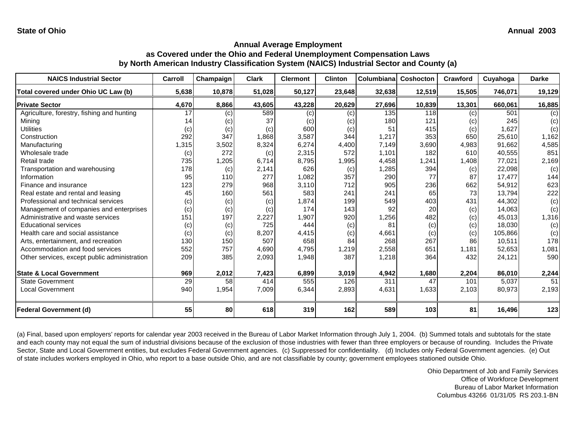| <b>NAICS Industrial Sector</b>               | Carroll | Champaign | <b>Clark</b> | <b>Clermont</b> | <b>Clinton</b> | Columbiana | Coshocton | Crawford | Cuyahoga | <b>Darke</b> |
|----------------------------------------------|---------|-----------|--------------|-----------------|----------------|------------|-----------|----------|----------|--------------|
| Total covered under Ohio UC Law (b)          | 5,638   | 10,878    | 51,028       | 50,127          | 23,648         | 32,638     | 12,519    | 15,505   | 746,071  | 19,129       |
| <b>Private Sector</b>                        | 4,670   | 8,866     | 43,605       | 43,228          | 20,629         | 27,696     | 10,839    | 13,301   | 660,061  | 16,885       |
| Agriculture, forestry, fishing and hunting   | 17      | (c)       | 589          | (c)             | (c)            | 135        | 118       | (c)      | 501      | (c)          |
| Mining                                       | 14      | (c)       | 37           | (c)             | (c)            | 180        | 121       | (c)      | 245      | (c)          |
| <b>Utilities</b>                             | (c)     | (c)       | (c)          | 600             | (c)            | 51         | 415       | (c)      | 1,627    | (c)          |
| Construction                                 | 292     | 347       | 1.868        | 3,587           | 344            | 1,217      | 353       | 650      | 25,610   | 1,162        |
| Manufacturing                                | 1,315   | 3,502     | 8,324        | 6,274           | 4,400          | 7,149      | 3,690     | 4,983    | 91,662   | 4,585        |
| Wholesale trade                              | (c)     | 272       | (c)          | 2,315           | 572            | 1,101      | 182       | 610      | 40,555   | 851          |
| Retail trade                                 | 735     | 1,205     | 6.714        | 8,795           | 1,995          | 4,458      | 1,241     | 1.408    | 77,021   | 2,169        |
| Transportation and warehousing               | 178     | (c)       | 2,141        | 626             | (c)            | ,285       | 394       | (c)      | 22,098   | (c)          |
| Information                                  | 95      | 110       | 277          | 1,082           | 357            | 290        | 77        | 87       | 17,477   | 144          |
| Finance and insurance                        | 123     | 279       | 968          | 3.110           | 712            | 905        | 236       | 662      | 54.912   | 623          |
| Real estate and rental and leasing           | 45      | 160       | 561          | 583             | 241            | 241        | 65        | 73       | 13,794   | 222          |
| Professional and technical services          | (c)     | (c)       | (c)          | 1,874           | 199            | 549        | 403       | 431      | 44,302   | (c)          |
| Management of companies and enterprises      | (c)     | (c)       | (c)          | 174             | 143            | 92         | 20        | (c)      | 14,063   | (c)          |
| Administrative and waste services            | 151     | 197       | 2,227        | 1,907           | 920            | 1,256      | 482       | (c)      | 45,013   | 1,316        |
| <b>Educational services</b>                  | (c)     | (c)       | 725          | 444             | (c)            | 81         | (c)       | (c)      | 18,030   | (c)          |
| Health care and social assistance            | (c)     | (c)       | 8,207        | 4,415           | (c)            | 4,661      | (c)       | (c)      | 105,866  | (c)          |
| Arts, entertainment, and recreation          | 130     | 150       | 507          | 658             | 84             | 268        | 267       | 86       | 10,511   | 178          |
| Accommodation and food services              | 552     | 757       | 4,690        | 4,795           | 1,219          | 2,558      | 651       | 1,181    | 52,653   | 1,081        |
| Other services, except public administration | 209     | 385       | 2,093        | 1,948           | 387            | 1,218      | 364       | 432      | 24,121   | 590          |
| <b>State &amp; Local Government</b>          | 969     | 2,012     | 7,423        | 6,899           | 3,019          | 4,942      | 1,680     | 2,204    | 86,010   | 2,244        |
| <b>State Government</b>                      | 29      | 58        | 414          | 555             | 126            | 311        | 47        | 101      | 5,037    | 51           |
| <b>Local Government</b>                      | 940     | 1,954     | 7,009        | 6,344           | 2,893          | 4,631      | 1,633     | 2,103    | 80,973   | 2,193        |
| Federal Government (d)                       | 55      | 80        | 618          | 319             | 162            | 589        | 103       | 81       | 16,496   | 123          |

(a) Final, based upon employers' reports for calendar year 2003 received in the Bureau of Labor Market Information through July 1, 2004. (b) Summed totals and subtotals for the state and each county may not equal the sum of industrial divisions because of the exclusion of those industries with fewer than three employers or because of rounding. Includes the Private Sector, State and Local Government entities, but excludes Federal Government agencies. (c) Suppressed for confidentiality. (d) Includes only Federal Government agencies. (e) Out of state includes workers employed in Ohio, who report to a base outside Ohio, and are not classifiable by county; government employees stationed outside Ohio.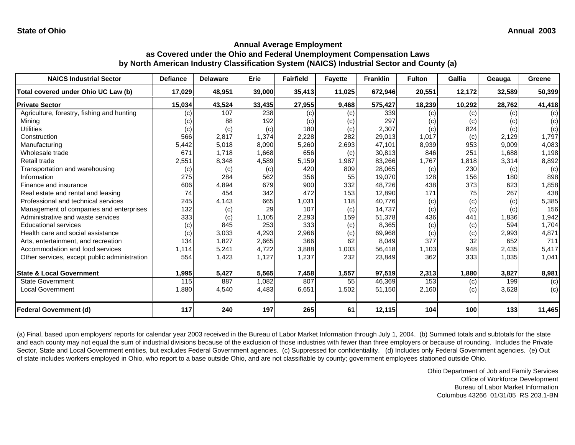| <b>NAICS Industrial Sector</b>               | <b>Defiance</b> | <b>Delaware</b> | Erie   | <b>Fairfield</b> | <b>Fayette</b> | <b>Franklin</b> | <b>Fulton</b> | Gallia | Geauga | Greene         |
|----------------------------------------------|-----------------|-----------------|--------|------------------|----------------|-----------------|---------------|--------|--------|----------------|
| Total covered under Ohio UC Law (b)          | 17,029          | 48,951          | 39,000 | 35,413           | 11,025         | 672,946         | 20,551        | 12,172 | 32,589 | 50,399         |
| <b>Private Sector</b>                        | 15,034          | 43,524          | 33,435 | 27,955           | 9,468          | 575,427         | 18,239        | 10,292 | 28,762 | 41,418         |
| Agriculture, forestry, fishing and hunting   | (c)             | 107             | 238    | (c)              | (c)            | 339             | (c)           | (c)    | (c)    | (c)            |
| Mining                                       | (c)             | 88              | 192    | (c)              | (c)            | 297             | (c)           | (c)    | (c)    | (c)            |
| <b>Utilities</b>                             | (c)             | (c)             | (c)    | 180              | (c)            | 2,307           | (c)           | 824    | (c)    | (c)            |
| Construction                                 | 566             | 2,817           | 1,374  | 2,228            | 282            | 29,013          | 1,017         | (c)    | 2,129  | 1,797          |
| Manufacturing                                | 5,442           | 5,018           | 8,090  | 5,260            | 2,693          | 47,101          | 8,939         | 953    | 9,009  | 4,083          |
| Wholesale trade                              | 671             | 1.718           | 1.668  | 656              | (c)            | 30,813          | 846           | 251    | 1.688  | 1,198          |
| Retail trade                                 | 2,551           | 8,348           | 4,589  | 5,159            | 1,987          | 83,266          | 1,767         | 1,818  | 3,314  | 8,892          |
| Transportation and warehousing               | (c)             | (c)             | (c)    | 420              | 809            | 28,065          | (c)           | 230    | (c)    | (c)            |
| Information                                  | 275             | 284             | 562    | 356              | 55             | 19,070          | 128           | 156    | 180    | 898            |
| Finance and insurance                        | 606             | 4,894           | 679    | 900              | 332            | 48,726          | 438           | 373    | 623    | 1,858          |
| Real estate and rental and leasing           | 74              | 454             | 342    | 472              | 153            | 12,890          | 171           | 75     | 267    | 438            |
| Professional and technical services          | 245             | 4,143           | 665    | 1,031            | 118            | 40,776          | (c)           | (c)    | (c)    | 5,385          |
| Management of companies and enterprises      | 132             | (c)             | 29     | 107              | (c)            | 14,737          | (c)           | (c)    | (c)    | 156            |
| Administrative and waste services            | 333             | (c)             | 1,105  | 2,293            | 159            | 51,378          | 436           | 441    | 1,836  | 1,942          |
| <b>Educational services</b>                  | (c)             | 845             | 253    | 333              | (c)            | 8,365           | (c)           | (c)    | 594    | 1,704          |
| Health care and social assistance            | (c)             | 3,033           | 4,293  | 2,966            | (c)            | 69,968          | (c)           | (c)    | 2,993  | 4,871          |
| Arts, entertainment, and recreation          | 134             | 1,827           | 2,665  | 366              | 62             | 8,049           | 377           | 32     | 652    | 711            |
| Accommodation and food services              | 1,114           | 5,241           | 4,722  | 3,888            | 1,003          | 56,418          | 1,103         | 948    | 2,435  | 5,417          |
| Other services, except public administration | 554             | 1,423           | 1,127  | 1,237            | 232            | 23,849          | 362           | 333    | 1,035  | 1,041          |
| <b>State &amp; Local Government</b>          | 1,995           | 5,427           | 5,565  | 7,458            | 1,557          | 97,519          | 2,313         | 1,880  | 3,827  | 8,981          |
| <b>State Government</b>                      | 115             | 887             | 1,082  | 807              | 55             | 46,369          | 153           | (c)    | 199    | $\overline{c}$ |
| <b>Local Government</b>                      | 1,880           | 4,540           | 4,483  | 6,651            | 1,502          | 51,150          | 2,160         | (c)    | 3,628  | (c)            |
| Federal Government (d)                       | 117             | 240             | 197    | 265              | 61             | 12,115          | 104           | 100    | 133    | 11,465         |

(a) Final, based upon employers' reports for calendar year 2003 received in the Bureau of Labor Market Information through July 1, 2004. (b) Summed totals and subtotals for the state and each county may not equal the sum of industrial divisions because of the exclusion of those industries with fewer than three employers or because of rounding. Includes the Private Sector, State and Local Government entities, but excludes Federal Government agencies. (c) Suppressed for confidentiality. (d) Includes only Federal Government agencies. (e) Out of state includes workers employed in Ohio, who report to a base outside Ohio, and are not classifiable by county; government employees stationed outside Ohio.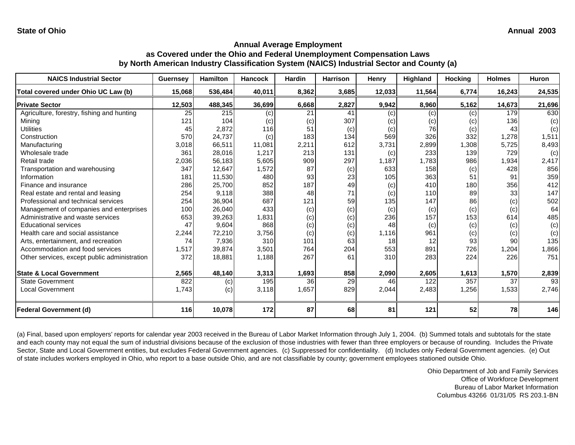| <b>NAICS Industrial Sector</b>               | <b>Guernsey</b> | <b>Hamilton</b> | <b>Hancock</b> | <b>Hardin</b>   | <b>Harrison</b> | Henry  | Highland | <b>Hocking</b> | <b>Holmes</b>   | Huron  |
|----------------------------------------------|-----------------|-----------------|----------------|-----------------|-----------------|--------|----------|----------------|-----------------|--------|
| Total covered under Ohio UC Law (b)          | 15,068          | 536,484         | 40,011         | 8,362           | 3,685           | 12,033 | 11,564   | 6,774          | 16,243          | 24,535 |
| <b>Private Sector</b>                        | 12,503          | 488,345         | 36,699         | 6,668           | 2,827           | 9,942  | 8,960    | 5,162          | 14,673          | 21,696 |
| Agriculture, forestry, fishing and hunting   | 25              | 215             | (c)            | 21              | 41              | (c)    | (c)      | (c)            | 179             | 630    |
| Mining                                       | 121             | 104             | (c)            | (c)             | 307             | (c)    | (c)      | (c)            | 136             | (c)    |
| <b>Utilities</b>                             | 45              | 2,872           | 116            | 51              | (c)             | (c)    | 76       | (c)            | 43              | (c)    |
| Construction                                 | 570             | 24,737          | (c)            | 183             | 134             | 569    | 326      | 332            | 1,278           | 1,511  |
| Manufacturing                                | 3,018           | 66,511          | 11,081         | 2,211           | 612             | 3,731  | 2,899    | 1,308          | 5,725           | 8,493  |
| Wholesale trade                              | 361             | 28.016          | 1.217          | 213             | 131             | (c)    | 233      | 139            | 729             | (c)    |
| Retail trade                                 | 2,036           | 56,183          | 5,605          | 909             | 297             | 1,187  | 1,783    | 986            | 1,934           | 2,417  |
| Transportation and warehousing               | 347             | 12.647          | 1,572          | 87              | (c)             | 633    | 158      | (c)            | 428             | 856    |
| Information                                  | 181             | 11,530          | 480            | 93              | 23              | 105    | 363      | 51             | 91              | 359    |
| Finance and insurance                        | 286             | 25,700          | 852            | 187             | 49              | (c)    | 410      | 180            | 356             | 412    |
| Real estate and rental and leasing           | 254             | 9,118           | 388            | 48              | 71              | (c)    | 110      | 89             | 33              | 147    |
| Professional and technical services          | 254             | 36,904          | 687            | 121             | 59              | 135    | 147      | 86             | (c)             | 502    |
| Management of companies and enterprises      | 100             | 26,040          | 433            | (c)             | (c)             | (c)    | (c)      | (c)            | (c)             | 64     |
| Administrative and waste services            | 653             | 39,263          | 1,831          | (c)             | (c)             | 236    | 157      | 153            | 614             | 485    |
| <b>Educational services</b>                  | 47              | 9,604           | 868            | (c)             | (c)             | 48     | (c)      | (c)            | (c)             | (c)    |
| Health care and social assistance            | 2,244           | 72,210          | 3,756          | (c)             | (c)             | 1,116  | 961      | (c)            | (c)             | (c)    |
| Arts, entertainment, and recreation          | 74              | 7,936           | 310            | 101             | 63              | 18     | 12       | 93             | 90              | 135    |
| Accommodation and food services              | 1,517           | 39,874          | 3,501          | 764             | 204             | 553    | 891      | 726            | 1,204           | 1,866  |
| Other services, except public administration | 372             | 18,881          | 1,188          | 267             | 61              | 310    | 283      | 224            | 226             | 751    |
| <b>State &amp; Local Government</b>          | 2,565           | 48,140          | 3,313          | 1,693           | 858             | 2,090  | 2,605    | 1,613          | 1,570           | 2,839  |
| <b>State Government</b>                      | 822             | (c)             | 195            | $\overline{36}$ | 29              | 46     | 122      | 357            | $\overline{37}$ | 93     |
| <b>Local Government</b>                      | 1,743           | (c)             | 3,118          | 1,657           | 829             | 2,044  | 2,483    | 1,256          | 1,533           | 2,746  |
| <b>Federal Government (d)</b>                | 116             | 10,078          | 172            | 87              | 68              | 81     | 121      | 52             | 78              | 146    |

(a) Final, based upon employers' reports for calendar year 2003 received in the Bureau of Labor Market Information through July 1, 2004. (b) Summed totals and subtotals for the state and each county may not equal the sum of industrial divisions because of the exclusion of those industries with fewer than three employers or because of rounding. Includes the Private Sector, State and Local Government entities, but excludes Federal Government agencies. (c) Suppressed for confidentiality. (d) Includes only Federal Government agencies. (e) Out of state includes workers employed in Ohio, who report to a base outside Ohio, and are not classifiable by county; government employees stationed outside Ohio.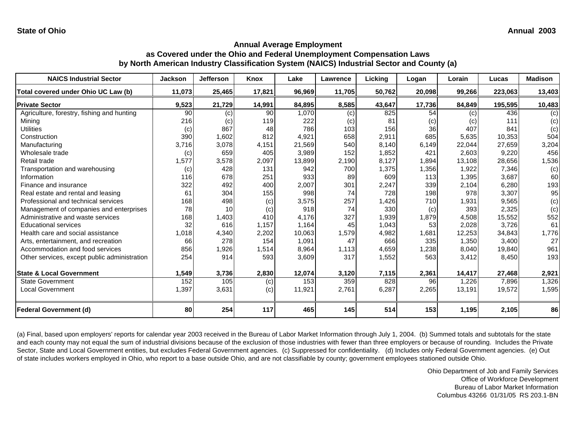| <b>NAICS Industrial Sector</b>               | Jackson | Jefferson | Knox   | Lake   | Lawrence | Licking | Logan           | Lorain | Lucas   | <b>Madison</b> |
|----------------------------------------------|---------|-----------|--------|--------|----------|---------|-----------------|--------|---------|----------------|
| Total covered under Ohio UC Law (b)          | 11,073  | 25,465    | 17,821 | 96,969 | 11,705   | 50,762  | 20,098          | 99,266 | 223,063 | 13,403         |
| <b>Private Sector</b>                        | 9,523   | 21,729    | 14,991 | 84,895 | 8,585    | 43,647  | 17,736          | 84,849 | 195,595 | 10,483         |
| Agriculture, forestry, fishing and hunting   | 90      | (c)       | 90     | 1,070  | (c)      | 825     | $\overline{54}$ | (c)    | 436     | (c)            |
| Mining                                       | 216     | (c)       | 119    | 222    | (c)      | 81      | (c)             | (c)    | 111     | (c)            |
| <b>Utilities</b>                             | (c)     | 867       | 48     | 786    | 103      | 156     | 36              | 407    | 841     | (c)            |
| Construction                                 | 390     | 1,602     | 812    | 4,921  | 658      | 2,911   | 685             | 5,635  | 10.353  | 504            |
| Manufacturing                                | 3,716   | 3,078     | 4,151  | 21,569 | 540      | 8,140   | 6,149           | 22,044 | 27,659  | 3,204          |
| Wholesale trade                              | (c)     | 659       | 405    | 3,989  | 152      | 1,852   | 421             | 2.603  | 9,220   | 456            |
| Retail trade                                 | 1,577   | 3,578     | 2,097  | 13,899 | 2,190    | 8,127   | 1,894           | 13,108 | 28,656  | 1,536          |
| Transportation and warehousing               | (c)     | 428       | 131    | 942    | 700      | 1,375   | 1,356           | 1,922  | 7,346   | (c)            |
| Information                                  | 116     | 678       | 251    | 933    | 89       | 609     | 113             | 1,395  | 3,687   | 60             |
| Finance and insurance                        | 322     | 492       | 400    | 2,007  | 301      | 2,247   | 339             | 2.104  | 6,280   | 193            |
| Real estate and rental and leasing           | 61      | 304       | 155    | 998    | 74       | 728     | 198             | 978    | 3,307   | 95             |
| Professional and technical services          | 168     | 498       | (c)    | 3,575  | 257      | 1,426   | 710             | 1,931  | 9,565   | (c)            |
| Management of companies and enterprises      | 78      | 10        | (c)    | 918    | 74       | 330     | (c)             | 393    | 2,325   | (c)            |
| Administrative and waste services            | 168     | 1,403     | 410    | 4,176  | 327      | 1,939   | 1,879           | 4,508  | 15,552  | 552            |
| <b>Educational services</b>                  | 32      | 616       | 1,157  | 1,164  | 45       | 1,043   | 53              | 2,028  | 3,726   | 61             |
| Health care and social assistance            | 1,018   | 4,340     | 2,202  | 10.063 | 1,579    | 4,982   | 1,681           | 12,253 | 34,843  | 1,776          |
| Arts, entertainment, and recreation          | 66      | 278       | 154    | 1,091  | 47       | 666     | 335             | 1,350  | 3,400   | 27             |
| Accommodation and food services              | 856     | 1,926     | 1,514  | 8,964  | 1,113    | 4,659   | 1,238           | 8,040  | 19,840  | 961            |
| Other services, except public administration | 254     | 914       | 593    | 3,609  | 317      | 1,552   | 563             | 3,412  | 8,450   | 193            |
| <b>State &amp; Local Government</b>          | 1,549   | 3,736     | 2,830  | 12,074 | 3,120    | 7,115   | 2,361           | 14,417 | 27,468  | 2,921          |
| <b>State Government</b>                      | 152     | 105       | (c)    | 153    | 359      | 828     | 96              | 1,226  | 7,896   | 1,326          |
| Local Government                             | 1,397   | 3,631     | (c)    | 11,921 | 2,761    | 6,287   | 2,265           | 13,191 | 19,572  | 1,595          |
| <b>Federal Government (d)</b>                | 80      | 254       | 117    | 465    | 145      | 514     | 153             | 1,195  | 2,105   | 86             |

(a) Final, based upon employers' reports for calendar year 2003 received in the Bureau of Labor Market Information through July 1, 2004. (b) Summed totals and subtotals for the state and each county may not equal the sum of industrial divisions because of the exclusion of those industries with fewer than three employers or because of rounding. Includes the Private Sector, State and Local Government entities, but excludes Federal Government agencies. (c) Suppressed for confidentiality. (d) Includes only Federal Government agencies. (e) Out of state includes workers employed in Ohio, who report to a base outside Ohio, and are not classifiable by county; government employees stationed outside Ohio.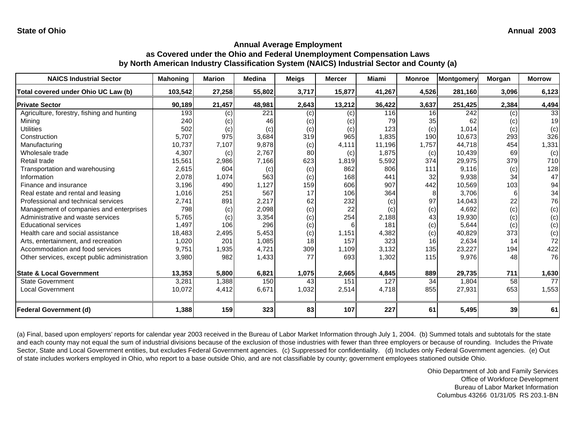| <b>NAICS Industrial Sector</b>               | Mahoning | <b>Marion</b> | <b>Medina</b> | <b>Meigs</b> | <b>Mercer</b> | <b>Miami</b> | <b>Monroe</b> | Montgomery       | Morgan | <b>Morrow</b> |
|----------------------------------------------|----------|---------------|---------------|--------------|---------------|--------------|---------------|------------------|--------|---------------|
| Total covered under Ohio UC Law (b)          | 103,542  | 27,258        | 55,802        | 3,717        | 15,877        | 41,267       | 4,526         | 281,160          | 3,096  | 6,123         |
| <b>Private Sector</b>                        | 90,189   | 21,457        | 48,981        | 2,643        | 13,212        | 36,422       | 3,637         | 251,425          | 2,384  | 4,494         |
| Agriculture, forestry, fishing and hunting   | 193      | (c)           | 221           | (c)          | (c)           | 116          | 16            | $\overline{242}$ | (c)    | 33            |
| Mining                                       | 240      | (c)           | 46            | (c)          | (c)           | 79           | 35            | 62               | (c)    | 19            |
| Utilities                                    | 502      | (c)           | (c)           | (c)          | (c)           | 123          | (c)           | 1,014            | (c)    | (c)           |
| Construction                                 | 5,707    | 975           | 3,684         | 319          | 965           | 1,835        | 190           | 10,673           | 293    | 326           |
| Manufacturing                                | 10,737   | 7,107         | 9,878         | (c)          | 4,111         | 11,196       | 1,757         | 44,718           | 454    | 1,331         |
| Wholesale trade                              | 4,307    | (c)           | 2,767         | 80           | (c)           | 1,875        | (c)           | 10,439           | 69     | (c)           |
| Retail trade                                 | 15,561   | 2,986         | 7,166         | 623          | 1,819         | 5,592        | 374           | 29,975           | 379    | 710           |
| Transportation and warehousing               | 2,615    | 604           | (c)           | (c)          | 862           | 806          | 111           | 9,116            | (c)    | 128           |
| Information                                  | 2,078    | 1,074         | 563           | (c)          | 168           | 441          | 32            | 9,938            | 34     | 47            |
| Finance and insurance                        | 3,196    | 490           | 1,127         | 159          | 606           | 907          | 442           | 10,569           | 103    | 94            |
| Real estate and rental and leasing           | 1,016    | 251           | 567           | 17           | 106           | 364          |               | 3,706            | 61     | 34            |
| Professional and technical services          | 2,741    | 891           | 2,217         | 62           | 232           | (c)          | 97            | 14,043           | 22     | 76            |
| Management of companies and enterprises      | 798      | (c)           | 2,098         | (c)          | 22            | (c)          | (c)           | 4,692            | (c)    | (c)           |
| Administrative and waste services            | 5,765    | (c)           | 3,354         | (c)          | 254           | 2,188        | 43            | 19,930           | (c)    | (c)           |
| <b>Educational services</b>                  | 1,497    | 106           | 296           | (c)          |               | 181          | (c)           | 5,644            | (c)    | (c)           |
| Health care and social assistance            | 18,483   | 2,495         | 5,453         | (c)          | 1,151         | 4,382        | (c)           | 40,829           | 373    | (c)           |
| Arts, entertainment, and recreation          | 1,020    | 201           | 1,085         | 18           | 157           | 323          | 16            | 2,634            | 14     | 72            |
| Accommodation and food services              | 9,751    | 1,935         | 4,721         | 309          | 1,109         | 3,132        | 135           | 23,227           | 194    | 422           |
| Other services, except public administration | 3,980    | 982           | 1,433         | 77           | 693           | 1,302        | 115           | 9,976            | 48     | 76            |
| <b>State &amp; Local Government</b>          | 13,353   | 5,800         | 6,821         | 1,075        | 2,665         | 4,845        | 889           | 29,735           | 711    | 1,630         |
| <b>State Government</b>                      | 3,281    | 1,388         | 150           | 43           | 151           | 127          | 34            | 1,804            | 58     | 77            |
| Local Government                             | 10,072   | 4,412         | 6,671         | 1,032        | 2,514         | 4,718        | 855           | 27,931           | 653    | 1,553         |
| <b>Federal Government (d)</b>                | 1,388    | 159           | 323           | 83           | 107           | 227          | 61            | 5,495            | 39     | 61            |

(a) Final, based upon employers' reports for calendar year 2003 received in the Bureau of Labor Market Information through July 1, 2004. (b) Summed totals and subtotals for the state and each county may not equal the sum of industrial divisions because of the exclusion of those industries with fewer than three employers or because of rounding. Includes the Private Sector, State and Local Government entities, but excludes Federal Government agencies. (c) Suppressed for confidentiality. (d) Includes only Federal Government agencies. (e) Out of state includes workers employed in Ohio, who report to a base outside Ohio, and are not classifiable by county; government employees stationed outside Ohio.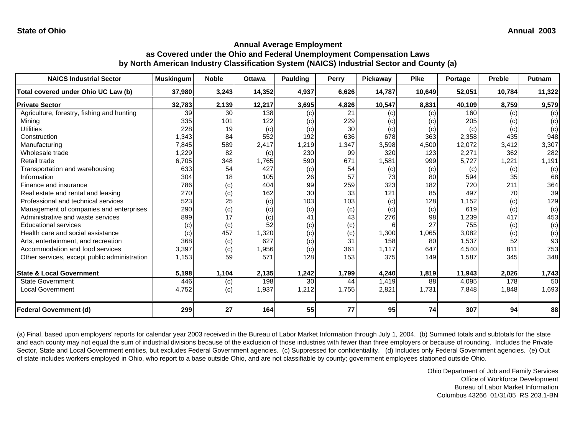| <b>NAICS Industrial Sector</b>               | <b>Muskingum</b> | <b>Noble</b> | <b>Ottawa</b> | <b>Paulding</b> | Perry | Pickaway | <b>Pike</b> | Portage | <b>Preble</b> | Putnam |
|----------------------------------------------|------------------|--------------|---------------|-----------------|-------|----------|-------------|---------|---------------|--------|
| Total covered under Ohio UC Law (b)          | 37,980           | 3,243        | 14,352        | 4,937           | 6,626 | 14,787   | 10,649      | 52,051  | 10,784        | 11,322 |
| <b>Private Sector</b>                        | 32,783           | 2,139        | 12,217        | 3,695           | 4,826 | 10,547   | 8,831       | 40,109  | 8,759         | 9,579  |
| Agriculture, forestry, fishing and hunting   | 39               | 30           | 138           | (c)             | 21    | (c)      | (c)         | 160     | (c)           | (c)    |
| Mining                                       | 335              | 101          | 122           | (c)             | 229   | (c)      | (c)         | 205     | (c)           | (c)    |
| Utilities                                    | 228              | 19           | (c)           | (c)             | 30    | (c)      | (c)         | (c)     | (c)           | (c)    |
| Construction                                 | 1,343            | 84           | 552           | 192             | 636   | 678      | 363         | 2,358   | 435           | 948    |
| Manufacturing                                | 7,845            | 589          | 2,417         | 1,219           | 1,347 | 3,598    | 4,500       | 12,072  | 3,412         | 3,307  |
| Wholesale trade                              | 1,229            | 82           | (c)           | 230             | 99    | 320      | 123         | 2,271   | 362           | 282    |
| Retail trade                                 | 6,705            | 348          | 1,765         | 590             | 671   | 1,581    | 999         | 5,727   | 1,221         | 1,191  |
| Transportation and warehousing               | 633              | 54           | 427           | (c)             | 54    | (c)      | (c)         | (c)     | (c)           | (c)    |
| Information                                  | 304              | 18           | 105           | 26              | 57    | 73       | 80          | 594     | 35            | 68     |
| Finance and insurance                        | 786              | (c)          | 404           | 99              | 259   | 323      | 182         | 720     | 211           | 364    |
| Real estate and rental and leasing           | 270              | (c)          | 162           | 30              | 33    | 121      | 85          | 497     | 70            | 39     |
| Professional and technical services          | 523              | 25           | (c)           | 103             | 103   | (c)      | 128         | 1,152   | (c)           | 129    |
| Management of companies and enterprises      | 290              | (c)          | (c)           | (c)             | (c)   | (c)      | (c)         | 619     | (c)           | (c)    |
| Administrative and waste services            | 899              | 17           | (c)           | 41              | 43    | 276      | 98          | 1,239   | 417           | 453    |
| <b>Educational services</b>                  | (c)              | (c)          | 52            | (c)             | (c)   | 6        | 27          | 755     | (c)           | (c)    |
| Health care and social assistance            | (c)              | 457          | 1,320         | (c)             | (c)   | 1,300    | 1,065       | 3,082   | (c)           | (c)    |
| Arts, entertainment, and recreation          | 368              | (c)          | 627           | (c)             | 31    | 158      | 80          | 1,537   | 52            | 93     |
| Accommodation and food services              | 3,397            | (c)          | 1,956         | (c)             | 361   | 1,117    | 647         | 4,540   | 811           | 753    |
| Other services, except public administration | 1,153            | 59           | 571           | 128             | 153   | 375      | 149         | 1,587   | 345           | 348    |
| <b>State &amp; Local Government</b>          | 5,198            | 1,104        | 2,135         | 1,242           | 1,799 | 4,240    | 1,819       | 11,943  | 2,026         | 1,743  |
| <b>State Government</b>                      | 446              | (c)          | 198           | 30              | 44    | 1,419    | 88          | 4,095   | 178           | 50     |
| <b>Local Government</b>                      | 4,752            | (c)          | 1,937         | 1,212           | 1,755 | 2,821    | 1,731       | 7,848   | 1,848         | 1,693  |
| <b>Federal Government (d)</b>                | 299              | 27           | 164           | 55              | 77    | 95       | 74          | 307     | 94            | 88     |

(a) Final, based upon employers' reports for calendar year 2003 received in the Bureau of Labor Market Information through July 1, 2004. (b) Summed totals and subtotals for the state and each county may not equal the sum of industrial divisions because of the exclusion of those industries with fewer than three employers or because of rounding. Includes the Private Sector, State and Local Government entities, but excludes Federal Government agencies. (c) Suppressed for confidentiality. (d) Includes only Federal Government agencies. (e) Out of state includes workers employed in Ohio, who report to a base outside Ohio, and are not classifiable by county; government employees stationed outside Ohio.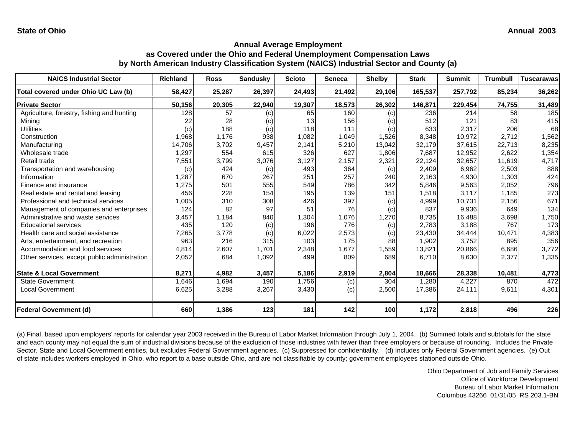| <b>NAICS Industrial Sector</b>               | <b>Richland</b> | <b>Ross</b> | <b>Sandusky</b> | <b>Scioto</b> | <b>Seneca</b> | <b>Shelby</b>     | <b>Stark</b> | <b>Summit</b> | <b>Trumbull</b> | <b>Tuscarawas</b> |
|----------------------------------------------|-----------------|-------------|-----------------|---------------|---------------|-------------------|--------------|---------------|-----------------|-------------------|
| Total covered under Ohio UC Law (b)          | 58,427          | 25,287      | 26,397          | 24,493        | 21,492        | 29,106            | 165,537      | 257,792       | 85,234          | 36,262            |
| <b>Private Sector</b>                        | 50,156          | 20,305      | 22,940          | 19,307        | 18,573        | 26,302            | 146,871      | 229,454       | 74,755          | 31,489            |
| Agriculture, forestry, fishing and hunting   | 128             | 57          | (c)             | 65            | 160           | (c)               | 236          | 214           | 58              | 185               |
| Mining                                       | 22              | 28          | (c)             | 13            | 156           | $\left( c\right)$ | 512          | 121           | 83              | 415               |
| Utilities                                    | (c)             | 188         | (c)             | 118           | 111           | (c)               | 633          | 2,317         | 206             | 68                |
| Construction                                 | 1,968           | 1,176       | 938             | 1,082         | 1,049         | 1,526             | 8,348        | 10,972        | 2,712           | 1,562             |
| Manufacturing                                | 14,706          | 3,702       | 9,457           | 2,141         | 5,210         | 13,042            | 32,179       | 37,615        | 22,713          | 8,235             |
| Wholesale trade                              | 1,297           | 554         | 615             | 326           | 627           | 1,806             | 7,687        | 12,952        | 2,622           | 1,354             |
| Retail trade                                 | 7,551           | 3,799       | 3,076           | 3,127         | 2,157         | 2,321             | 22,124       | 32,657        | 11,619          | 4,717             |
| Transportation and warehousing               | (c)             | 424         | (c)             | 493           | 364           | (c)               | 2,409        | 6,962         | 2,503           | 888               |
| Information                                  | 1,287           | 670         | 267             | 251           | 257           | 240               | 2,163        | 4,930         | 1,303           | 424               |
| Finance and insurance                        | ,275            | 501         | 555             | 549           | 786           | 342               | 5,846        | 9,563         | 2,052           | 796               |
| Real estate and rental and leasing           | 456             | 228         | 154             | 195           | 139           | 151               | 1,518        | 3,117         | 1,185           | 273               |
| Professional and technical services          | 1,005           | 310         | 308             | 426           | 397           | (c)               | 4,999        | 10,731        | 2,156           | 671               |
| Management of companies and enterprises      | 124             | 82          | 97              | 51            | 76            | (c)               | 837          | 9,936         | 649             | 134               |
| Administrative and waste services            | 3,457           | 1,184       | 840             | 1,304         | 1,076         | 1,270             | 8,735        | 16,488        | 3,698           | 1,750             |
| <b>Educational services</b>                  | 435             | 120         | (c)             | 196           | 776           | (c)               | 2,783        | 3,188         | 767             | 173               |
| Health care and social assistance            | 7,265           | 3,778       | (c)             | 6,022         | 2,573         | (c)               | 23,430       | 34,444        | 10,471          | 4,383             |
| Arts, entertainment, and recreation          | 963             | 216         | 315             | 103           | 175           | 88                | 1,902        | 3,752         | 895             | 356               |
| Accommodation and food services              | 4,814           | 2,607       | 1,701           | 2,348         | 1,677         | 1,559             | 13,821       | 20,866        | 6,686           | 3,772             |
| Other services, except public administration | 2,052           | 684         | 1,092           | 499           | 809           | 689               | 6,710        | 8,630         | 2,377           | 1,335             |
| <b>State &amp; Local Government</b>          | 8,271           | 4,982       | 3,457           | 5,186         | 2,919         | 2,804             | 18,666       | 28,338        | 10,481          | 4,773             |
| <b>State Government</b>                      | 1,646           | 1,694       | 190             | 1,756         | (c)           | 304               | 1,280        | 4,227         | 870             | 472               |
| <b>Local Government</b>                      | 6,625           | 3,288       | 3,267           | 3,430         | (c)           | 2,500             | 17,386       | 24,111        | 9,611           | 4,301             |
| <b>Federal Government (d)</b>                | 660             | 1,386       | 123             | 181           | 142           | 100               | 1,172        | 2,818         | 496             | 226               |

(a) Final, based upon employers' reports for calendar year 2003 received in the Bureau of Labor Market Information through July 1, 2004. (b) Summed totals and subtotals for the state and each county may not equal the sum of industrial divisions because of the exclusion of those industries with fewer than three employers or because of rounding. Includes the Private Sector, State and Local Government entities, but excludes Federal Government agencies. (c) Suppressed for confidentiality. (d) Includes only Federal Government agencies. (e) Out of state includes workers employed in Ohio, who report to a base outside Ohio, and are not classifiable by county; government employees stationed outside Ohio.